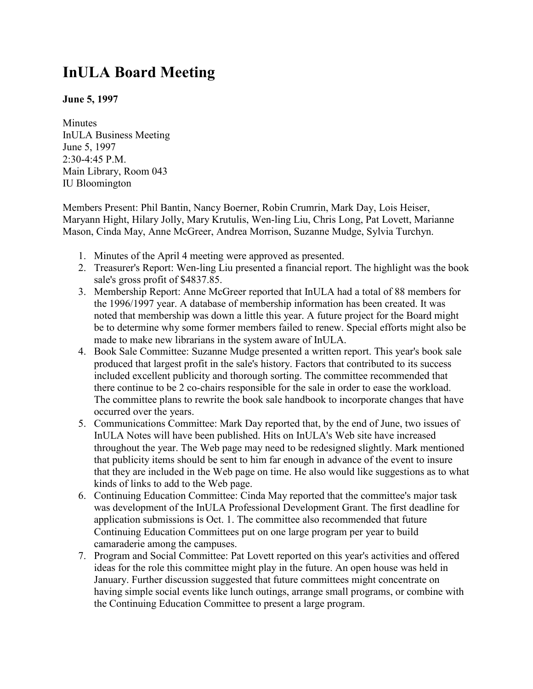## **InULA Board Meeting**

## **June 5, 1997**

**Minutes** InULA Business Meeting June 5, 1997 2:30-4:45 P.M. Main Library, Room 043 IU Bloomington

Members Present: Phil Bantin, Nancy Boerner, Robin Crumrin, Mark Day, Lois Heiser, Maryann Hight, Hilary Jolly, Mary Krutulis, Wen-ling Liu, Chris Long, Pat Lovett, Marianne Mason, Cinda May, Anne McGreer, Andrea Morrison, Suzanne Mudge, Sylvia Turchyn.

- 1. Minutes of the April 4 meeting were approved as presented.
- 2. Treasurer's Report: Wen-ling Liu presented a financial report. The highlight was the book sale's gross profit of \$4837.85.
- 3. Membership Report: Anne McGreer reported that InULA had a total of 88 members for the 1996/1997 year. A database of membership information has been created. It was noted that membership was down a little this year. A future project for the Board might be to determine why some former members failed to renew. Special efforts might also be made to make new librarians in the system aware of InULA.
- 4. Book Sale Committee: Suzanne Mudge presented a written report. This year's book sale produced that largest profit in the sale's history. Factors that contributed to its success included excellent publicity and thorough sorting. The committee recommended that there continue to be 2 co-chairs responsible for the sale in order to ease the workload. The committee plans to rewrite the book sale handbook to incorporate changes that have occurred over the years.
- 5. Communications Committee: Mark Day reported that, by the end of June, two issues of InULA Notes will have been published. Hits on InULA's Web site have increased throughout the year. The Web page may need to be redesigned slightly. Mark mentioned that publicity items should be sent to him far enough in advance of the event to insure that they are included in the Web page on time. He also would like suggestions as to what kinds of links to add to the Web page.
- 6. Continuing Education Committee: Cinda May reported that the committee's major task was development of the InULA Professional Development Grant. The first deadline for application submissions is Oct. 1. The committee also recommended that future Continuing Education Committees put on one large program per year to build camaraderie among the campuses.
- 7. Program and Social Committee: Pat Lovett reported on this year's activities and offered ideas for the role this committee might play in the future. An open house was held in January. Further discussion suggested that future committees might concentrate on having simple social events like lunch outings, arrange small programs, or combine with the Continuing Education Committee to present a large program.